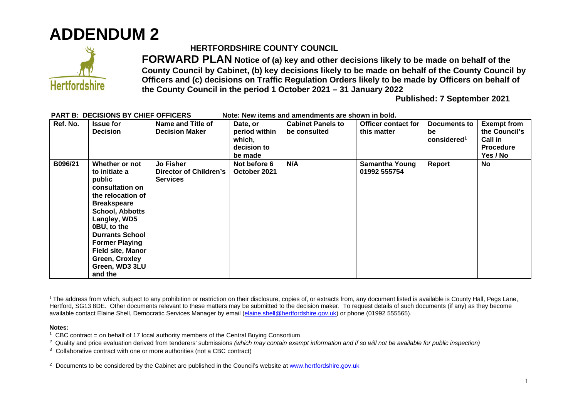



## **HERTFORDSHIRE COUNTY COUNCIL**

**FORWARD PLAN Notice of (a) key and other decisions likely to be made on behalf of the County Council by Cabinet, (b) key decisions likely to be made on behalf of the County Council by Officers and (c) decisions on Traffic Regulation Orders likely to be made by Officers on behalf of the County Council in the period 1 October 2021 – 31 January 2022** 

**Published: 7 September 2021**

| Ref. No. | <b>Issue for</b><br><b>Decision</b>                                                                                                                                                                                                                                                            | Name and Title of<br><b>Decision Maker</b>                    | Date, or<br>period within<br>which,<br>decision to<br>be made | <b>Cabinet Panels to</b><br>be consulted | <b>Officer contact for</b><br>this matter | Documents to<br>be<br>considered <sup>1</sup> | <b>Exempt from</b><br>the Council's<br><b>Call in</b><br><b>Procedure</b><br>Yes / No |
|----------|------------------------------------------------------------------------------------------------------------------------------------------------------------------------------------------------------------------------------------------------------------------------------------------------|---------------------------------------------------------------|---------------------------------------------------------------|------------------------------------------|-------------------------------------------|-----------------------------------------------|---------------------------------------------------------------------------------------|
| B096/21  | Whether or not<br>to initiate a<br>public<br>consultation on<br>the relocation of<br><b>Breakspeare</b><br><b>School, Abbotts</b><br>Langley, WD5<br>0BU, to the<br><b>Durrants School</b><br><b>Former Playing</b><br><b>Field site, Manor</b><br>Green, Croxley<br>Green, WD3 3LU<br>and the | <b>Jo Fisher</b><br>Director of Children's<br><b>Services</b> | Not before 6<br>October 2021                                  | N/A                                      | <b>Samantha Young</b><br>01992 555754     | Report                                        | No                                                                                    |

**PART B: DECISIONS BY CHIEF OFFICERS Note: New items and amendments are shown in bold.** 

## **Notes:**

<sup>2</sup> Documents to be considered by the Cabinet are published in the Council's website at www.hertfordshire.gov.uk

<sup>&</sup>lt;sup>1</sup> The address from which, subject to any prohibition or restriction on their disclosure, copies of, or extracts from, any document listed is available is County Hall, Pegs Lane, Hertford, SG13 8DE. Other documents relevant to these matters may be submitted to the decision maker. To request details of such documents (if any) as they become available contact Elaine Shell, Democratic Services Manager by email (elaine.shell@hertfordshire.gov.uk) or phone (01992 555565).

<sup>&</sup>lt;sup>1</sup> CBC contract = on behalf of 17 local authority members of the Central Buying Consortium

<sup>2</sup> Quality and price evaluation derived from tenderers' submissions *(which may contain exempt information and if so will not be available for public inspection)*

 $3$  Collaborative contract with one or more authorities (not a CBC contract)